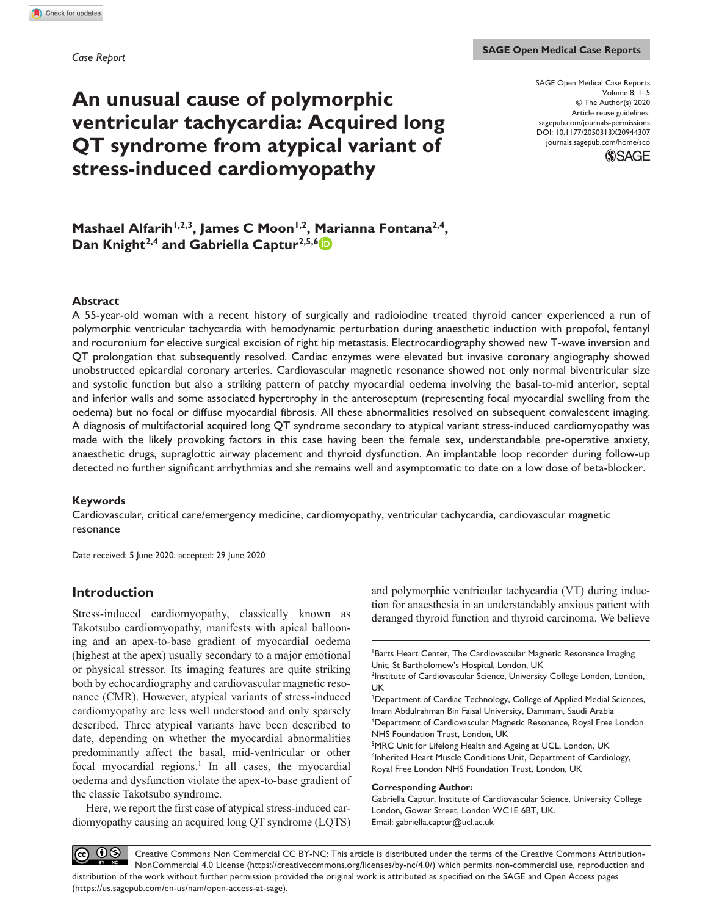# **An unusual cause of polymorphic ventricular tachycardia: Acquired long QT syndrome from atypical variant of stress-induced cardiomyopathy**

DOI: 10.1177/2050313X20944307 SAGE Open Medical Case Reports Volume 8: 1–5 © The Author(s) 2020 Article reuse guidelines: [sagepub.com/journals-permissions](https://uk.sagepub.com/en-gb/journals-permissions) [journals.sagepub.com/home/sco](https://journals.sagepub.com/home/sco)



## Mashael Alfarih<sup>1,2,3</sup>, James C Moon<sup>1,2</sup>, Marianna Fontana<sup>2,4</sup>, Dan Knight<sup>2,4</sup> and Gabriella Captur<sup>2,5,6</sup><sup>1</sup>

#### **Abstract**

A 55-year-old woman with a recent history of surgically and radioiodine treated thyroid cancer experienced a run of polymorphic ventricular tachycardia with hemodynamic perturbation during anaesthetic induction with propofol, fentanyl and rocuronium for elective surgical excision of right hip metastasis. Electrocardiography showed new T-wave inversion and QT prolongation that subsequently resolved. Cardiac enzymes were elevated but invasive coronary angiography showed unobstructed epicardial coronary arteries. Cardiovascular magnetic resonance showed not only normal biventricular size and systolic function but also a striking pattern of patchy myocardial oedema involving the basal-to-mid anterior, septal and inferior walls and some associated hypertrophy in the anteroseptum (representing focal myocardial swelling from the oedema) but no focal or diffuse myocardial fibrosis. All these abnormalities resolved on subsequent convalescent imaging. A diagnosis of multifactorial acquired long QT syndrome secondary to atypical variant stress-induced cardiomyopathy was made with the likely provoking factors in this case having been the female sex, understandable pre-operative anxiety, anaesthetic drugs, supraglottic airway placement and thyroid dysfunction. An implantable loop recorder during follow-up detected no further significant arrhythmias and she remains well and asymptomatic to date on a low dose of beta-blocker.

### **Keywords**

Cardiovascular, critical care/emergency medicine, cardiomyopathy, ventricular tachycardia, cardiovascular magnetic resonance

Date received: 5 June 2020; accepted: 29 June 2020

## **Introduction**

Stress-induced cardiomyopathy, classically known as Takotsubo cardiomyopathy, manifests with apical ballooning and an apex-to-base gradient of myocardial oedema (highest at the apex) usually secondary to a major emotional or physical stressor. Its imaging features are quite striking both by echocardiography and cardiovascular magnetic resonance (CMR). However, atypical variants of stress-induced cardiomyopathy are less well understood and only sparsely described. Three atypical variants have been described to date, depending on whether the myocardial abnormalities predominantly affect the basal, mid-ventricular or other focal myocardial regions.<sup>1</sup> In all cases, the myocardial oedema and dysfunction violate the apex-to-base gradient of the classic Takotsubo syndrome.

Here, we report the first case of atypical stress-induced cardiomyopathy causing an acquired long QT syndrome (LQTS) and polymorphic ventricular tachycardia (VT) during induction for anaesthesia in an understandably anxious patient with deranged thyroid function and thyroid carcinoma. We believe

<sup>3</sup>Department of Cardiac Technology, College of Applied Medial Sciences, Imam Abdulrahman Bin Faisal University, Dammam, Saudi Arabia 4 Department of Cardiovascular Magnetic Resonance, Royal Free London NHS Foundation Trust, London, UK

<sup>5</sup>MRC Unit for Lifelong Health and Ageing at UCL, London, UK <sup>6</sup>Inherited Heart Muscle Conditions Unit, Department of Cardiology, Royal Free London NHS Foundation Trust, London, UK

#### **Corresponding Author:**

Gabriella Captur, Institute of Cardiovascular Science, University College London, Gower Street, London WC1E 6BT, UK. Email: gabriella.captur@ucl.ac.uk

 $\odot$  $(cc)$ Creative Commons Non Commercial CC BY-NC: This article is distributed under the terms of the Creative Commons Attribution-NonCommercial 4.0 License (https://creativecommons.org/licenses/by-nc/4.0/) which permits non-commercial use, reproduction and distribution of the work without further permission provided the original work is attributed as specified on the SAGE and Open Access pages (https://us.sagepub.com/en-us/nam/open-access-at-sage).

Barts Heart Center, The Cardiovascular Magnetic Resonance Imaging Unit, St Bartholomew's Hospital, London, UK

<sup>&</sup>lt;sup>2</sup>Institute of Cardiovascular Science, University College London, London, UK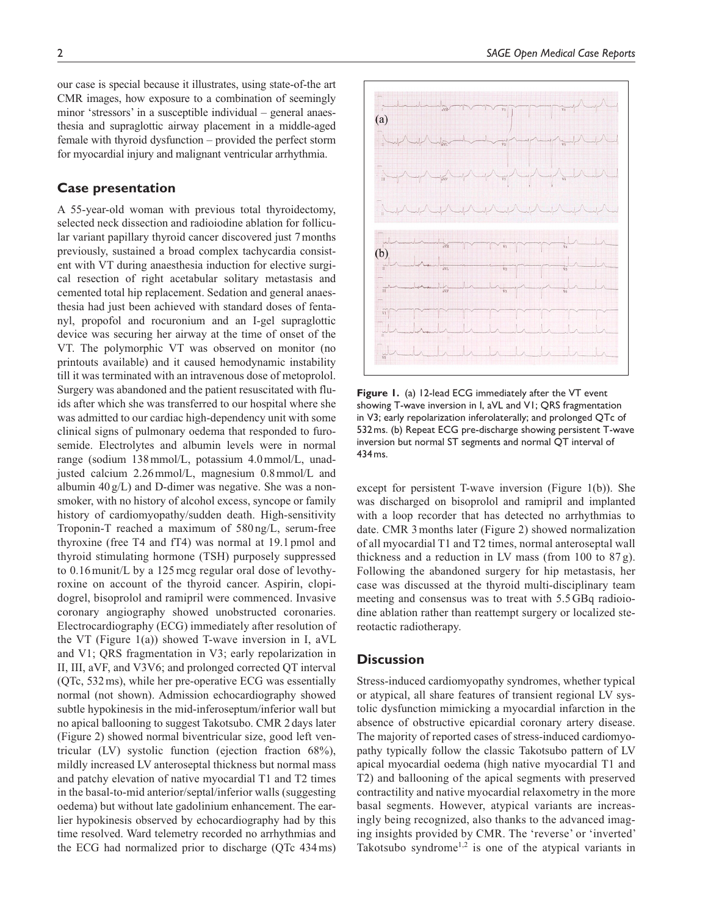our case is special because it illustrates, using state-of-the art CMR images, how exposure to a combination of seemingly minor 'stressors' in a susceptible individual – general anaesthesia and supraglottic airway placement in a middle-aged female with thyroid dysfunction – provided the perfect storm for myocardial injury and malignant ventricular arrhythmia.

## **Case presentation**

A 55-year-old woman with previous total thyroidectomy, selected neck dissection and radioiodine ablation for follicular variant papillary thyroid cancer discovered just 7months previously, sustained a broad complex tachycardia consistent with VT during anaesthesia induction for elective surgical resection of right acetabular solitary metastasis and cemented total hip replacement. Sedation and general anaesthesia had just been achieved with standard doses of fentanyl, propofol and rocuronium and an I-gel supraglottic device was securing her airway at the time of onset of the VT. The polymorphic VT was observed on monitor (no printouts available) and it caused hemodynamic instability till it was terminated with an intravenous dose of metoprolol. Surgery was abandoned and the patient resuscitated with fluids after which she was transferred to our hospital where she was admitted to our cardiac high-dependency unit with some clinical signs of pulmonary oedema that responded to furosemide. Electrolytes and albumin levels were in normal range (sodium 138mmol/L, potassium 4.0mmol/L, unadjusted calcium 2.26mmol/L, magnesium 0.8mmol/L and albumin  $40 g/L$ ) and D-dimer was negative. She was a nonsmoker, with no history of alcohol excess, syncope or family history of cardiomyopathy/sudden death. High-sensitivity Troponin-T reached a maximum of 580 ng/L, serum-free thyroxine (free T4 and fT4) was normal at 19.1 pmol and thyroid stimulating hormone (TSH) purposely suppressed to 0.16munit/L by a 125mcg regular oral dose of levothyroxine on account of the thyroid cancer. Aspirin, clopidogrel, bisoprolol and ramipril were commenced. Invasive coronary angiography showed unobstructed coronaries. Electrocardiography (ECG) immediately after resolution of the VT (Figure 1(a)) showed T-wave inversion in I, aVL and V1; QRS fragmentation in V3; early repolarization in II, III, aVF, and V3V6; and prolonged corrected QT interval (QTc, 532ms), while her pre-operative ECG was essentially normal (not shown). Admission echocardiography showed subtle hypokinesis in the mid-inferoseptum/inferior wall but no apical ballooning to suggest Takotsubo. CMR 2days later (Figure 2) showed normal biventricular size, good left ventricular (LV) systolic function (ejection fraction 68%), mildly increased LV anteroseptal thickness but normal mass and patchy elevation of native myocardial T1 and T2 times in the basal-to-mid anterior/septal/inferior walls (suggesting oedema) but without late gadolinium enhancement. The earlier hypokinesis observed by echocardiography had by this time resolved. Ward telemetry recorded no arrhythmias and the ECG had normalized prior to discharge (QTc 434ms)



**Figure 1.** (a) 12-lead ECG immediately after the VT event showing T-wave inversion in I, aVL and V1; QRS fragmentation in V3; early repolarization inferolaterally; and prolonged QTc of 532ms. (b) Repeat ECG pre-discharge showing persistent T-wave inversion but normal ST segments and normal QT interval of 434ms.

except for persistent T-wave inversion (Figure 1(b)). She was discharged on bisoprolol and ramipril and implanted with a loop recorder that has detected no arrhythmias to date. CMR 3months later (Figure 2) showed normalization of all myocardial T1 and T2 times, normal anteroseptal wall thickness and a reduction in LV mass (from 100 to 87 g). Following the abandoned surgery for hip metastasis, her case was discussed at the thyroid multi-disciplinary team meeting and consensus was to treat with 5.5GBq radioiodine ablation rather than reattempt surgery or localized stereotactic radiotherapy.

## **Discussion**

Stress-induced cardiomyopathy syndromes, whether typical or atypical, all share features of transient regional LV systolic dysfunction mimicking a myocardial infarction in the absence of obstructive epicardial coronary artery disease. The majority of reported cases of stress-induced cardiomyopathy typically follow the classic Takotsubo pattern of LV apical myocardial oedema (high native myocardial T1 and T2) and ballooning of the apical segments with preserved contractility and native myocardial relaxometry in the more basal segments. However, atypical variants are increasingly being recognized, also thanks to the advanced imaging insights provided by CMR. The 'reverse' or 'inverted' Takotsubo syndrome<sup>1,2</sup> is one of the atypical variants in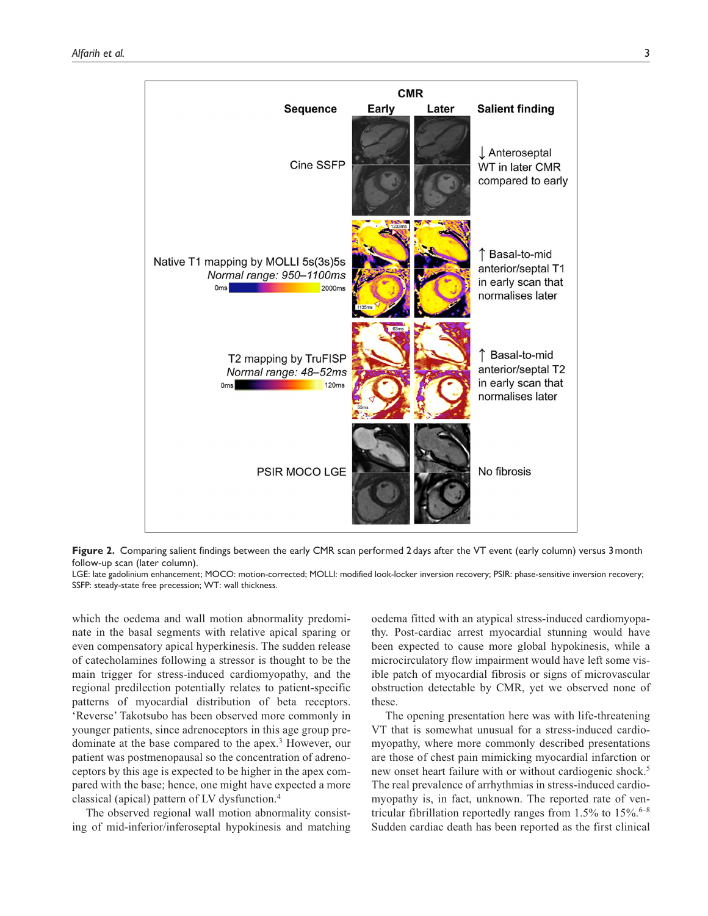

**Figure 2.** Comparing salient findings between the early CMR scan performed 2days after the VT event (early column) versus 3month follow-up scan (later column).

LGE: late gadolinium enhancement; MOCO: motion-corrected; MOLLI: modified look-locker inversion recovery; PSIR: phase-sensitive inversion recovery; SSFP: steady-state free precession; WT: wall thickness.

which the oedema and wall motion abnormality predominate in the basal segments with relative apical sparing or even compensatory apical hyperkinesis. The sudden release of catecholamines following a stressor is thought to be the main trigger for stress-induced cardiomyopathy, and the regional predilection potentially relates to patient-specific patterns of myocardial distribution of beta receptors. 'Reverse' Takotsubo has been observed more commonly in younger patients, since adrenoceptors in this age group predominate at the base compared to the apex.<sup>3</sup> However, our patient was postmenopausal so the concentration of adrenoceptors by this age is expected to be higher in the apex compared with the base; hence, one might have expected a more classical (apical) pattern of LV dysfunction.4

The observed regional wall motion abnormality consisting of mid-inferior/inferoseptal hypokinesis and matching

oedema fitted with an atypical stress-induced cardiomyopathy. Post-cardiac arrest myocardial stunning would have been expected to cause more global hypokinesis, while a microcirculatory flow impairment would have left some visible patch of myocardial fibrosis or signs of microvascular obstruction detectable by CMR, yet we observed none of these.

The opening presentation here was with life-threatening VT that is somewhat unusual for a stress-induced cardiomyopathy, where more commonly described presentations are those of chest pain mimicking myocardial infarction or new onset heart failure with or without cardiogenic shock.<sup>5</sup> The real prevalence of arrhythmias in stress-induced cardiomyopathy is, in fact, unknown. The reported rate of ventricular fibrillation reportedly ranges from  $1.5\%$  to  $15\%$ .<sup>6-8</sup> Sudden cardiac death has been reported as the first clinical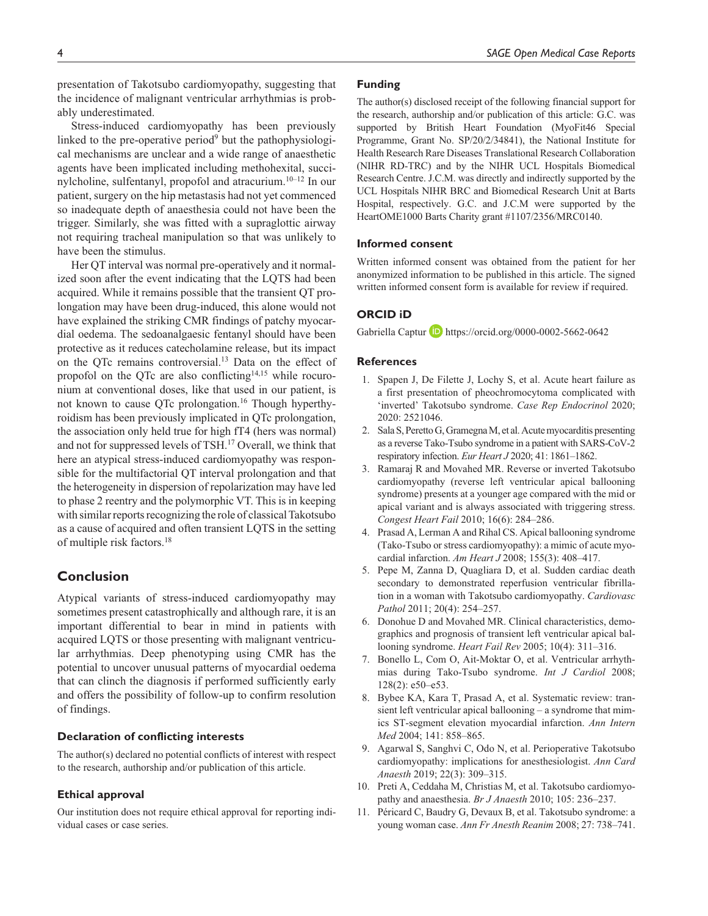presentation of Takotsubo cardiomyopathy, suggesting that the incidence of malignant ventricular arrhythmias is probably underestimated.

Stress-induced cardiomyopathy has been previously linked to the pre-operative period $9$  but the pathophysiological mechanisms are unclear and a wide range of anaesthetic agents have been implicated including methohexital, succinylcholine, sulfentanyl, propofol and atracurium.10–12 In our patient, surgery on the hip metastasis had not yet commenced so inadequate depth of anaesthesia could not have been the trigger. Similarly, she was fitted with a supraglottic airway not requiring tracheal manipulation so that was unlikely to have been the stimulus.

Her QT interval was normal pre-operatively and it normalized soon after the event indicating that the LQTS had been acquired. While it remains possible that the transient QT prolongation may have been drug-induced, this alone would not have explained the striking CMR findings of patchy myocardial oedema. The sedoanalgaesic fentanyl should have been protective as it reduces catecholamine release, but its impact on the QTc remains controversial.13 Data on the effect of propofol on the QTc are also conflicting<sup>14,15</sup> while rocuronium at conventional doses, like that used in our patient, is not known to cause QTc prolongation.<sup>16</sup> Though hyperthyroidism has been previously implicated in QTc prolongation, the association only held true for high fT4 (hers was normal) and not for suppressed levels of TSH.17 Overall, we think that here an atypical stress-induced cardiomyopathy was responsible for the multifactorial QT interval prolongation and that the heterogeneity in dispersion of repolarization may have led to phase 2 reentry and the polymorphic VT. This is in keeping with similar reports recognizing the role of classical Takotsubo as a cause of acquired and often transient LQTS in the setting of multiple risk factors.18

## **Conclusion**

Atypical variants of stress-induced cardiomyopathy may sometimes present catastrophically and although rare, it is an important differential to bear in mind in patients with acquired LQTS or those presenting with malignant ventricular arrhythmias. Deep phenotyping using CMR has the potential to uncover unusual patterns of myocardial oedema that can clinch the diagnosis if performed sufficiently early and offers the possibility of follow-up to confirm resolution of findings.

#### **Declaration of conflicting interests**

The author(s) declared no potential conflicts of interest with respect to the research, authorship and/or publication of this article.

## **Ethical approval**

Our institution does not require ethical approval for reporting individual cases or case series.

#### **Funding**

The author(s) disclosed receipt of the following financial support for the research, authorship and/or publication of this article: G.C. was supported by British Heart Foundation (MyoFit46 Special Programme, Grant No. SP/20/2/34841), the National Institute for Health Research Rare Diseases Translational Research Collaboration (NIHR RD-TRC) and by the NIHR UCL Hospitals Biomedical Research Centre. J.C.M. was directly and indirectly supported by the UCL Hospitals NIHR BRC and Biomedical Research Unit at Barts Hospital, respectively. G.C. and J.C.M were supported by the HeartOME1000 Barts Charity grant #1107/2356/MRC0140.

#### **Informed consent**

Written informed consent was obtained from the patient for her anonymized information to be published in this article. The signed written informed consent form is available for review if required.

## **ORCID iD**

Gabriella Captur **b** https://orcid.org/0000-0002-5662-0642

#### **References**

- 1. Spapen J, De Filette J, Lochy S, et al. Acute heart failure as a first presentation of pheochromocytoma complicated with 'inverted' Takotsubo syndrome. *Case Rep Endocrinol* 2020; 2020: 2521046.
- 2. Sala S, Peretto G, Gramegna M, et al. Acute myocarditis presenting as a reverse Tako-Tsubo syndrome in a patient with SARS-CoV-2 respiratory infection. *Eur Heart J* 2020; 41: 1861–1862.
- 3. Ramaraj R and Movahed MR. Reverse or inverted Takotsubo cardiomyopathy (reverse left ventricular apical ballooning syndrome) presents at a younger age compared with the mid or apical variant and is always associated with triggering stress. *Congest Heart Fail* 2010; 16(6): 284–286.
- 4. Prasad A, Lerman A and Rihal CS. Apical ballooning syndrome (Tako-Tsubo or stress cardiomyopathy): a mimic of acute myocardial infarction. *Am Heart J* 2008; 155(3): 408–417.
- 5. Pepe M, Zanna D, Quagliara D, et al. Sudden cardiac death secondary to demonstrated reperfusion ventricular fibrillation in a woman with Takotsubo cardiomyopathy. *Cardiovasc Pathol* 2011; 20(4): 254–257.
- 6. Donohue D and Movahed MR. Clinical characteristics, demographics and prognosis of transient left ventricular apical ballooning syndrome. *Heart Fail Rev* 2005; 10(4): 311–316.
- 7. Bonello L, Com O, Ait-Moktar O, et al. Ventricular arrhythmias during Tako-Tsubo syndrome. *Int J Cardiol* 2008; 128(2): e50–e53.
- 8. Bybee KA, Kara T, Prasad A, et al. Systematic review: transient left ventricular apical ballooning – a syndrome that mimics ST-segment elevation myocardial infarction. *Ann Intern Med* 2004; 141: 858–865.
- 9. Agarwal S, Sanghvi C, Odo N, et al. Perioperative Takotsubo cardiomyopathy: implications for anesthesiologist. *Ann Card Anaesth* 2019; 22(3): 309–315.
- 10. Preti A, Ceddaha M, Christias M, et al. Takotsubo cardiomyopathy and anaesthesia. *Br J Anaesth* 2010; 105: 236–237.
- 11. Péricard C, Baudry G, Devaux B, et al. Takotsubo syndrome: a young woman case. *Ann Fr Anesth Reanim* 2008; 27: 738–741.